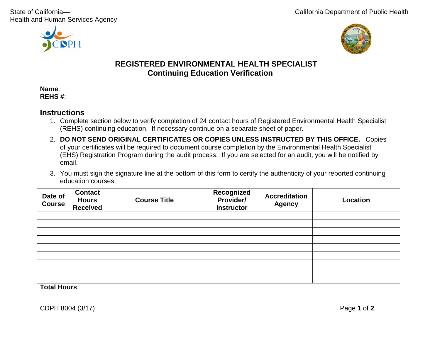Health and Human Services Agency





# **REGISTERED ENVIRONMENTAL HEALTH SPECIALIST Continuing Education Verification**

**Name**: **REHS #**:

#### **Instructions**

- 1. Complete section below to verify completion of 24 contact hours of Registered Environmental Health Specialist (REHS) continuing education. If necessary continue on a separate sheet of paper.
- 2. **DO NOT SEND ORIGINAL CERTIFICATES OR COPIES UNLESS INSTRUCTED BY THIS OFFICE.** Copies of your certificates will be required to document course completion by the Environmental Health Specialist (EHS) Registration Program during the audit process. If you are selected for an audit, you will be notified by email.
- 3. You must sign the signature line at the bottom of this form to certify the authenticity of your reported continuing education courses.

| Date of<br><b>Course</b> | <b>Contact</b><br><b>Hours</b><br><b>Received</b> | <b>Course Title</b> | Recognized<br>Provider/<br><b>Instructor</b> | <b>Accreditation</b><br><b>Agency</b> | <b>Location</b> |
|--------------------------|---------------------------------------------------|---------------------|----------------------------------------------|---------------------------------------|-----------------|
|                          |                                                   |                     |                                              |                                       |                 |
|                          |                                                   |                     |                                              |                                       |                 |
|                          |                                                   |                     |                                              |                                       |                 |
|                          |                                                   |                     |                                              |                                       |                 |
|                          |                                                   |                     |                                              |                                       |                 |
|                          |                                                   |                     |                                              |                                       |                 |
|                          |                                                   |                     |                                              |                                       |                 |
|                          |                                                   |                     |                                              |                                       |                 |
|                          |                                                   |                     |                                              |                                       |                 |
| — <i>п</i>               |                                                   |                     |                                              |                                       |                 |

**Total Hours**: